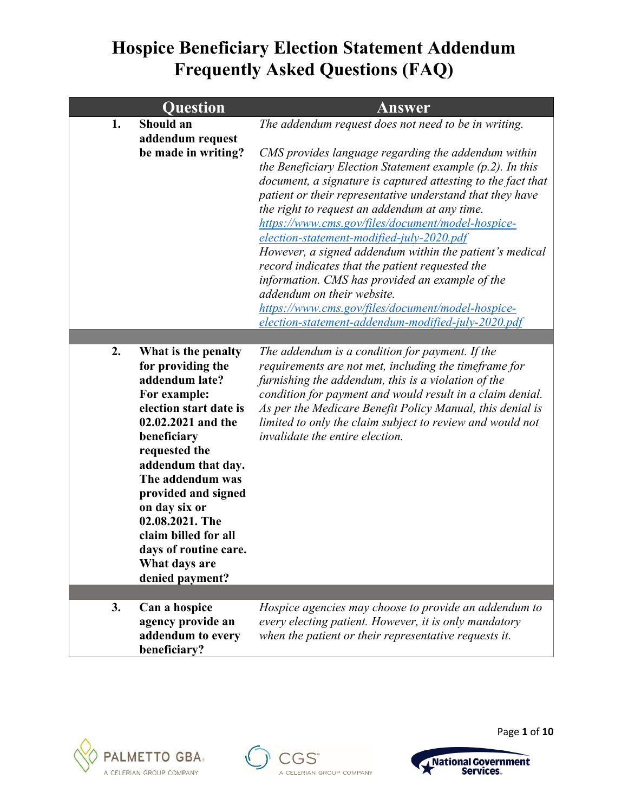|    | <b>Question</b>                                                                                                                                                                                                                                                                                                                                      | <b>Answer</b>                                                                                                                                                                                                                                                                                                                                                                                                                                                                                                                                                                                                                                                                                                                                                          |
|----|------------------------------------------------------------------------------------------------------------------------------------------------------------------------------------------------------------------------------------------------------------------------------------------------------------------------------------------------------|------------------------------------------------------------------------------------------------------------------------------------------------------------------------------------------------------------------------------------------------------------------------------------------------------------------------------------------------------------------------------------------------------------------------------------------------------------------------------------------------------------------------------------------------------------------------------------------------------------------------------------------------------------------------------------------------------------------------------------------------------------------------|
| 1. | Should an<br>addendum request<br>be made in writing?                                                                                                                                                                                                                                                                                                 | The addendum request does not need to be in writing.<br>CMS provides language regarding the addendum within<br>the Beneficiary Election Statement example $(p, 2)$ . In this<br>document, a signature is captured attesting to the fact that<br>patient or their representative understand that they have<br>the right to request an addendum at any time.<br>https://www.cms.gov/files/document/model-hospice-<br>election-statement-modified-july-2020.pdf<br>However, a signed addendum within the patient's medical<br>record indicates that the patient requested the<br>information. CMS has provided an example of the<br>addendum on their website.<br>https://www.cms.gov/files/document/model-hospice-<br>election-statement-addendum-modified-july-2020.pdf |
|    |                                                                                                                                                                                                                                                                                                                                                      |                                                                                                                                                                                                                                                                                                                                                                                                                                                                                                                                                                                                                                                                                                                                                                        |
| 2. | What is the penalty<br>for providing the<br>addendum late?<br>For example:<br>election start date is<br>02.02.2021 and the<br>beneficiary<br>requested the<br>addendum that day.<br>The addendum was<br>provided and signed<br>on day six or<br>02.08.2021. The<br>claim billed for all<br>days of routine care.<br>What days are<br>denied payment? | The addendum is a condition for payment. If the<br>requirements are not met, including the timeframe for<br>furnishing the addendum, this is a violation of the<br>condition for payment and would result in a claim denial.<br>As per the Medicare Benefit Policy Manual, this denial is<br>limited to only the claim subject to review and would not<br>invalidate the entire election.                                                                                                                                                                                                                                                                                                                                                                              |
| 3. | Can a hospice                                                                                                                                                                                                                                                                                                                                        | Hospice agencies may choose to provide an addendum to                                                                                                                                                                                                                                                                                                                                                                                                                                                                                                                                                                                                                                                                                                                  |
|    | agency provide an<br>addendum to every<br>beneficiary?                                                                                                                                                                                                                                                                                               | every electing patient. However, it is only mandatory<br>when the patient or their representative requests it.                                                                                                                                                                                                                                                                                                                                                                                                                                                                                                                                                                                                                                                         |







Page **1** of **10**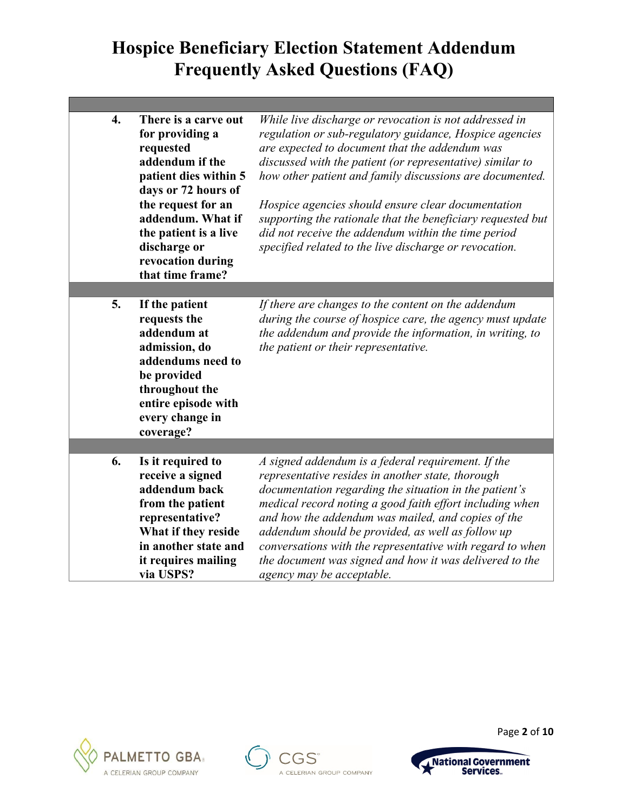| $\overline{4}$ . | There is a carve out<br>for providing a<br>requested<br>addendum if the<br>patient dies within 5<br>days or 72 hours of<br>the request for an<br>addendum. What if<br>the patient is a live<br>discharge or<br>revocation during<br>that time frame? | While live discharge or revocation is not addressed in<br>regulation or sub-regulatory guidance, Hospice agencies<br>are expected to document that the addendum was<br>discussed with the patient (or representative) similar to<br>how other patient and family discussions are documented.<br>Hospice agencies should ensure clear documentation<br>supporting the rationale that the beneficiary requested but<br>did not receive the addendum within the time period<br>specified related to the live discharge or revocation. |
|------------------|------------------------------------------------------------------------------------------------------------------------------------------------------------------------------------------------------------------------------------------------------|------------------------------------------------------------------------------------------------------------------------------------------------------------------------------------------------------------------------------------------------------------------------------------------------------------------------------------------------------------------------------------------------------------------------------------------------------------------------------------------------------------------------------------|
|                  |                                                                                                                                                                                                                                                      |                                                                                                                                                                                                                                                                                                                                                                                                                                                                                                                                    |
| 5.               | If the patient<br>requests the<br>addendum at<br>admission, do<br>addendums need to<br>be provided<br>throughout the<br>entire episode with<br>every change in<br>coverage?                                                                          | If there are changes to the content on the addendum<br>during the course of hospice care, the agency must update<br>the addendum and provide the information, in writing, to<br>the patient or their representative.                                                                                                                                                                                                                                                                                                               |
|                  |                                                                                                                                                                                                                                                      |                                                                                                                                                                                                                                                                                                                                                                                                                                                                                                                                    |
| 6.               | Is it required to<br>receive a signed<br>addendum back<br>from the patient<br>representative?<br>What if they reside<br>in another state and<br>it requires mailing                                                                                  | A signed addendum is a federal requirement. If the<br>representative resides in another state, thorough<br>documentation regarding the situation in the patient's<br>medical record noting a good faith effort including when<br>and how the addendum was mailed, and copies of the<br>addendum should be provided, as well as follow up<br>conversations with the representative with regard to when<br>the document was signed and how it was delivered to the                                                                   |
|                  | via USPS?                                                                                                                                                                                                                                            | agency may be acceptable.                                                                                                                                                                                                                                                                                                                                                                                                                                                                                                          |







Page **2** of **10**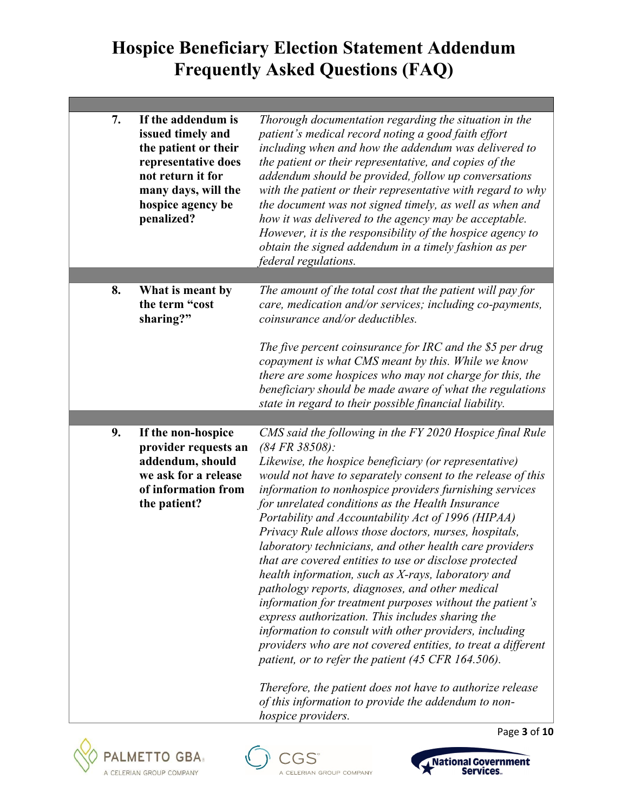| 7. | If the addendum is<br>issued timely and<br>the patient or their<br>representative does<br>not return it for<br>many days, will the<br>hospice agency be<br>penalized? | Thorough documentation regarding the situation in the<br>patient's medical record noting a good faith effort<br>including when and how the addendum was delivered to<br>the patient or their representative, and copies of the<br>addendum should be provided, follow up conversations<br>with the patient or their representative with regard to why<br>the document was not signed timely, as well as when and<br>how it was delivered to the agency may be acceptable.<br>However, it is the responsibility of the hospice agency to<br>obtain the signed addendum in a timely fashion as per<br><i>federal regulations.</i>                                                                                                                                                                                                                                                                                                                                   |
|----|-----------------------------------------------------------------------------------------------------------------------------------------------------------------------|-------------------------------------------------------------------------------------------------------------------------------------------------------------------------------------------------------------------------------------------------------------------------------------------------------------------------------------------------------------------------------------------------------------------------------------------------------------------------------------------------------------------------------------------------------------------------------------------------------------------------------------------------------------------------------------------------------------------------------------------------------------------------------------------------------------------------------------------------------------------------------------------------------------------------------------------------------------------|
|    |                                                                                                                                                                       |                                                                                                                                                                                                                                                                                                                                                                                                                                                                                                                                                                                                                                                                                                                                                                                                                                                                                                                                                                   |
| 8. | What is meant by<br>the term "cost<br>sharing?"                                                                                                                       | The amount of the total cost that the patient will pay for<br>care, medication and/or services; including co-payments,<br>coinsurance and/or deductibles.                                                                                                                                                                                                                                                                                                                                                                                                                                                                                                                                                                                                                                                                                                                                                                                                         |
|    |                                                                                                                                                                       | The five percent coinsurance for IRC and the \$5 per drug<br>copayment is what CMS meant by this. While we know<br>there are some hospices who may not charge for this, the<br>beneficiary should be made aware of what the regulations<br>state in regard to their possible financial liability.                                                                                                                                                                                                                                                                                                                                                                                                                                                                                                                                                                                                                                                                 |
|    |                                                                                                                                                                       |                                                                                                                                                                                                                                                                                                                                                                                                                                                                                                                                                                                                                                                                                                                                                                                                                                                                                                                                                                   |
| 9. | If the non-hospice<br>provider requests an<br>addendum, should<br>we ask for a release<br>of information from<br>the patient?                                         | CMS said the following in the FY 2020 Hospice final Rule<br>$(84 FR 38508)$ :<br>Likewise, the hospice beneficiary (or representative)<br>would not have to separately consent to the release of this<br>information to nonhospice providers furnishing services<br>for unrelated conditions as the Health Insurance<br>Portability and Accountability Act of 1996 (HIPAA)<br>Privacy Rule allows those doctors, nurses, hospitals,<br>laboratory technicians, and other health care providers<br>that are covered entities to use or disclose protected<br>health information, such as X-rays, laboratory and<br>pathology reports, diagnoses, and other medical<br>information for treatment purposes without the patient's<br>express authorization. This includes sharing the<br>information to consult with other providers, including<br>providers who are not covered entities, to treat a different<br>patient, or to refer the patient (45 CFR 164.506). |
|    |                                                                                                                                                                       | Therefore, the patient does not have to authorize release<br>of this information to provide the addendum to non-<br>hospice providers.                                                                                                                                                                                                                                                                                                                                                                                                                                                                                                                                                                                                                                                                                                                                                                                                                            |







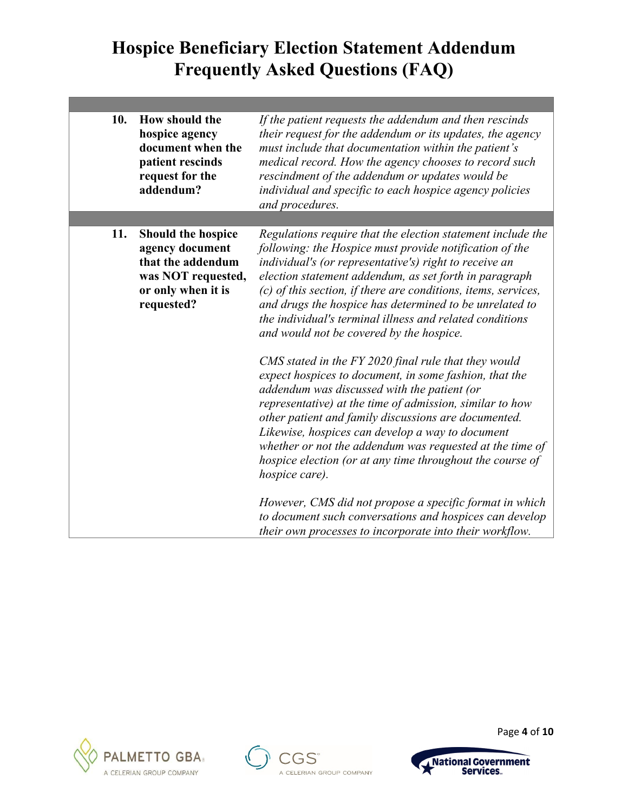| 10. | How should the<br>hospice agency<br>document when the<br>patient rescinds<br>request for the<br>addendum?                   | If the patient requests the addendum and then rescinds<br>their request for the addendum or its updates, the agency<br>must include that documentation within the patient's<br>medical record. How the agency chooses to record such<br>rescindment of the addendum or updates would be<br>individual and specific to each hospice agency policies<br>and procedures.                                                                                                                                                                                                                                                                                                    |
|-----|-----------------------------------------------------------------------------------------------------------------------------|--------------------------------------------------------------------------------------------------------------------------------------------------------------------------------------------------------------------------------------------------------------------------------------------------------------------------------------------------------------------------------------------------------------------------------------------------------------------------------------------------------------------------------------------------------------------------------------------------------------------------------------------------------------------------|
| 11. | <b>Should the hospice</b><br>agency document<br>that the addendum<br>was NOT requested,<br>or only when it is<br>requested? | Regulations require that the election statement include the<br>following: the Hospice must provide notification of the<br>individual's (or representative's) right to receive an<br>election statement addendum, as set forth in paragraph<br>$(c)$ of this section, if there are conditions, items, services,<br>and drugs the hospice has determined to be unrelated to<br>the individual's terminal illness and related conditions<br>and would not be covered by the hospice.                                                                                                                                                                                        |
|     |                                                                                                                             | CMS stated in the FY 2020 final rule that they would<br>expect hospices to document, in some fashion, that the<br>addendum was discussed with the patient (or<br>representative) at the time of admission, similar to how<br>other patient and family discussions are documented.<br>Likewise, hospices can develop a way to document<br>whether or not the addendum was requested at the time of<br>hospice election (or at any time throughout the course of<br><i>hospice care).</i><br>However, CMS did not propose a specific format in which<br>to document such conversations and hospices can develop<br>their own processes to incorporate into their workflow. |







Page **4** of **10**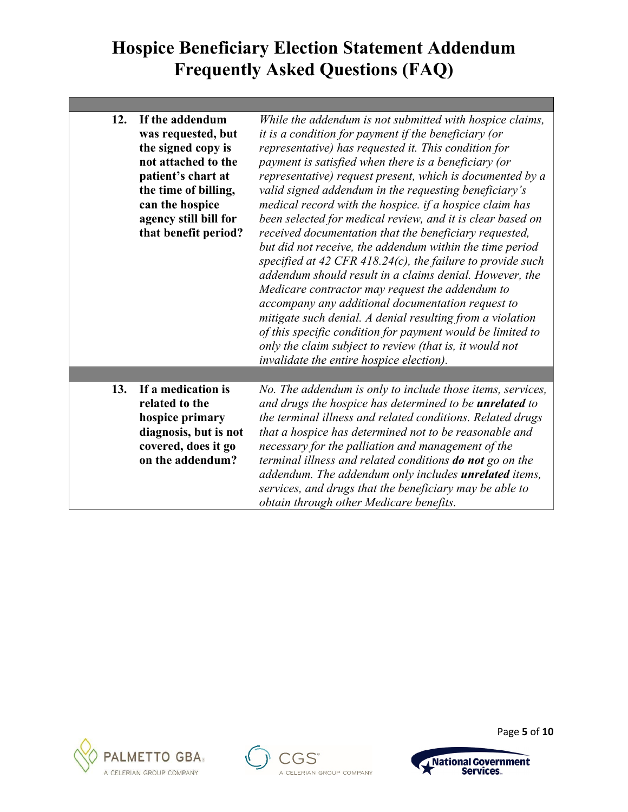| 12. | If the addendum<br>was requested, but<br>the signed copy is<br>not attached to the<br>patient's chart at<br>the time of billing,<br>can the hospice<br>agency still bill for<br>that benefit period? | While the addendum is not submitted with hospice claims,<br>it is a condition for payment if the beneficiary (or<br>representative) has requested it. This condition for<br>payment is satisfied when there is a beneficiary (or<br>representative) request present, which is documented by a<br>valid signed addendum in the requesting beneficiary's<br>medical record with the hospice. if a hospice claim has<br>been selected for medical review, and it is clear based on<br>received documentation that the beneficiary requested,<br>but did not receive, the addendum within the time period<br>specified at 42 CFR 418.24 $(c)$ , the failure to provide such<br>addendum should result in a claims denial. However, the<br>Medicare contractor may request the addendum to<br>accompany any additional documentation request to<br>mitigate such denial. A denial resulting from a violation<br>of this specific condition for payment would be limited to<br>only the claim subject to review (that is, it would not<br>invalidate the entire hospice election). |
|-----|------------------------------------------------------------------------------------------------------------------------------------------------------------------------------------------------------|------------------------------------------------------------------------------------------------------------------------------------------------------------------------------------------------------------------------------------------------------------------------------------------------------------------------------------------------------------------------------------------------------------------------------------------------------------------------------------------------------------------------------------------------------------------------------------------------------------------------------------------------------------------------------------------------------------------------------------------------------------------------------------------------------------------------------------------------------------------------------------------------------------------------------------------------------------------------------------------------------------------------------------------------------------------------------|
|     |                                                                                                                                                                                                      |                                                                                                                                                                                                                                                                                                                                                                                                                                                                                                                                                                                                                                                                                                                                                                                                                                                                                                                                                                                                                                                                              |
| 13. | If a medication is<br>related to the<br>hospice primary<br>diagnosis, but is not<br>covered, does it go<br>on the addendum?                                                                          | No. The addendum is only to include those items, services,<br>and drugs the hospice has determined to be <i>unrelated</i> to<br>the terminal illness and related conditions. Related drugs<br>that a hospice has determined not to be reasonable and<br>necessary for the palliation and management of the<br>terminal illness and related conditions do not go on the<br>addendum. The addendum only includes unrelated items,<br>services, and drugs that the beneficiary may be able to<br>obtain through other Medicare benefits.                                                                                                                                                                                                                                                                                                                                                                                                                                                                                                                                        |







Page **5** of **10**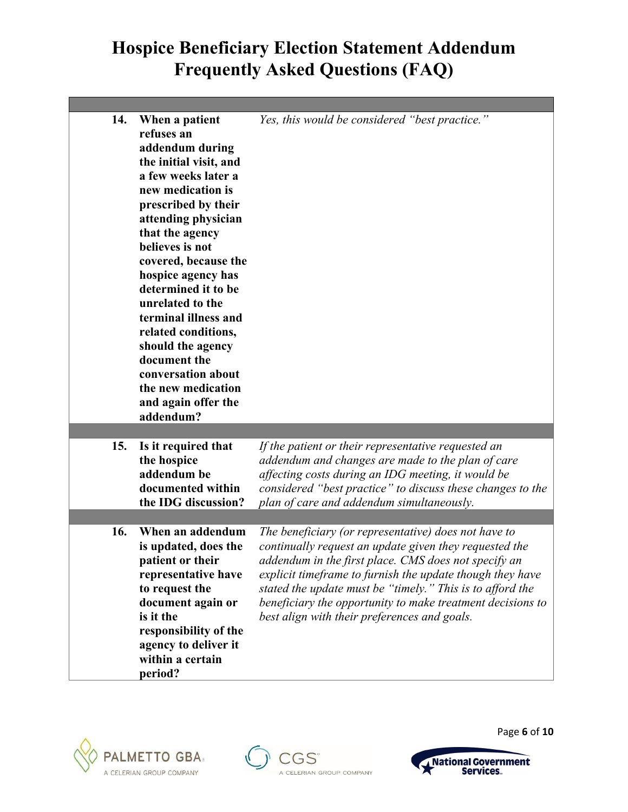| 14. | When a patient<br>refuses an<br>addendum during<br>the initial visit, and<br>a few weeks later a<br>new medication is<br>prescribed by their<br>attending physician<br>that the agency<br>believes is not<br>covered, because the<br>hospice agency has<br>determined it to be<br>unrelated to the<br>terminal illness and<br>related conditions,<br>should the agency<br>document the<br>conversation about<br>the new medication<br>and again offer the<br>addendum? | Yes, this would be considered "best practice."                                                                                                                                                                                                                                                                                                                                                                 |
|-----|------------------------------------------------------------------------------------------------------------------------------------------------------------------------------------------------------------------------------------------------------------------------------------------------------------------------------------------------------------------------------------------------------------------------------------------------------------------------|----------------------------------------------------------------------------------------------------------------------------------------------------------------------------------------------------------------------------------------------------------------------------------------------------------------------------------------------------------------------------------------------------------------|
|     |                                                                                                                                                                                                                                                                                                                                                                                                                                                                        |                                                                                                                                                                                                                                                                                                                                                                                                                |
| 15. | Is it required that<br>the hospice<br>addendum be<br>documented within<br>the IDG discussion?                                                                                                                                                                                                                                                                                                                                                                          | If the patient or their representative requested an<br>addendum and changes are made to the plan of care<br>affecting costs during an IDG meeting, it would be<br>considered "best practice" to discuss these changes to the<br>plan of care and addendum simultaneously.                                                                                                                                      |
|     |                                                                                                                                                                                                                                                                                                                                                                                                                                                                        |                                                                                                                                                                                                                                                                                                                                                                                                                |
| 16. | When an addendum<br>is updated, does the<br>patient or their<br>representative have<br>to request the<br>document again or<br>is it the<br>responsibility of the<br>agency to deliver it<br>within a certain<br>period?                                                                                                                                                                                                                                                | The beneficiary (or representative) does not have to<br>continually request an update given they requested the<br>addendum in the first place. CMS does not specify an<br>explicit timeframe to furnish the update though they have<br>stated the update must be "timely." This is to afford the<br>beneficiary the opportunity to make treatment decisions to<br>best align with their preferences and goals. |







Page **6** of **10**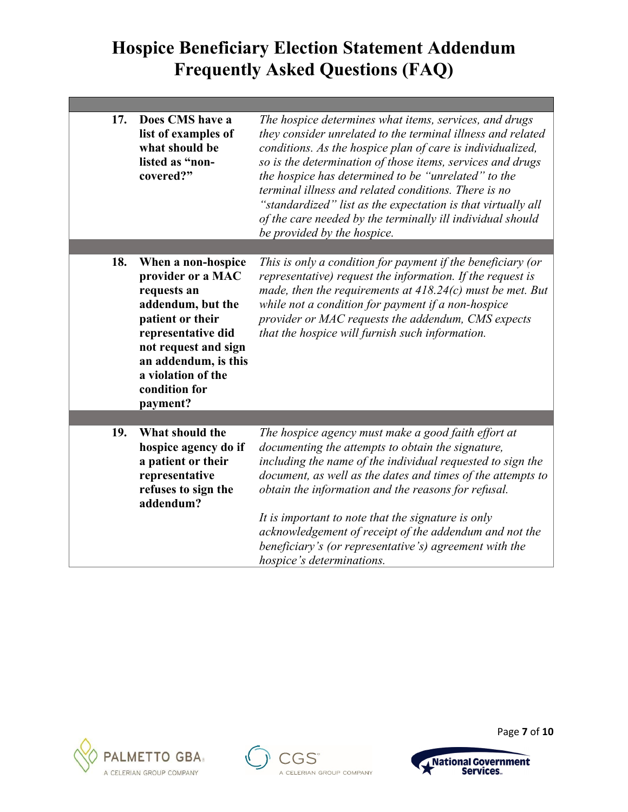| 17. | Does CMS have a<br>list of examples of<br>what should be<br>listed as "non-<br>covered?"                                                                                                                                 | The hospice determines what items, services, and drugs<br>they consider unrelated to the terminal illness and related<br>conditions. As the hospice plan of care is individualized,<br>so is the determination of those items, services and drugs<br>the hospice has determined to be "unrelated" to the<br>terminal illness and related conditions. There is no<br>"standardized" list as the expectation is that virtually all<br>of the care needed by the terminally ill individual should<br>be provided by the hospice. |
|-----|--------------------------------------------------------------------------------------------------------------------------------------------------------------------------------------------------------------------------|-------------------------------------------------------------------------------------------------------------------------------------------------------------------------------------------------------------------------------------------------------------------------------------------------------------------------------------------------------------------------------------------------------------------------------------------------------------------------------------------------------------------------------|
|     |                                                                                                                                                                                                                          |                                                                                                                                                                                                                                                                                                                                                                                                                                                                                                                               |
| 18. | When a non-hospice<br>provider or a MAC<br>requests an<br>addendum, but the<br>patient or their<br>representative did<br>not request and sign<br>an addendum, is this<br>a violation of the<br>condition for<br>payment? | This is only a condition for payment if the beneficiary (or<br>representative) request the information. If the request is<br>made, then the requirements at $418.24(c)$ must be met. But<br>while not a condition for payment if a non-hospice<br>provider or MAC requests the addendum, CMS expects<br>that the hospice will furnish such information.                                                                                                                                                                       |
|     |                                                                                                                                                                                                                          |                                                                                                                                                                                                                                                                                                                                                                                                                                                                                                                               |
| 19. | What should the<br>hospice agency do if<br>a patient or their<br>representative<br>refuses to sign the<br>addendum?                                                                                                      | The hospice agency must make a good faith effort at<br>documenting the attempts to obtain the signature,<br>including the name of the individual requested to sign the<br>document, as well as the dates and times of the attempts to<br>obtain the information and the reasons for refusal.<br>It is important to note that the signature is only<br>acknowledgement of receipt of the addendum and not the<br>beneficiary's (or representative's) agreement with the<br><i>hospice's determinations.</i>                    |







Page **7** of **10**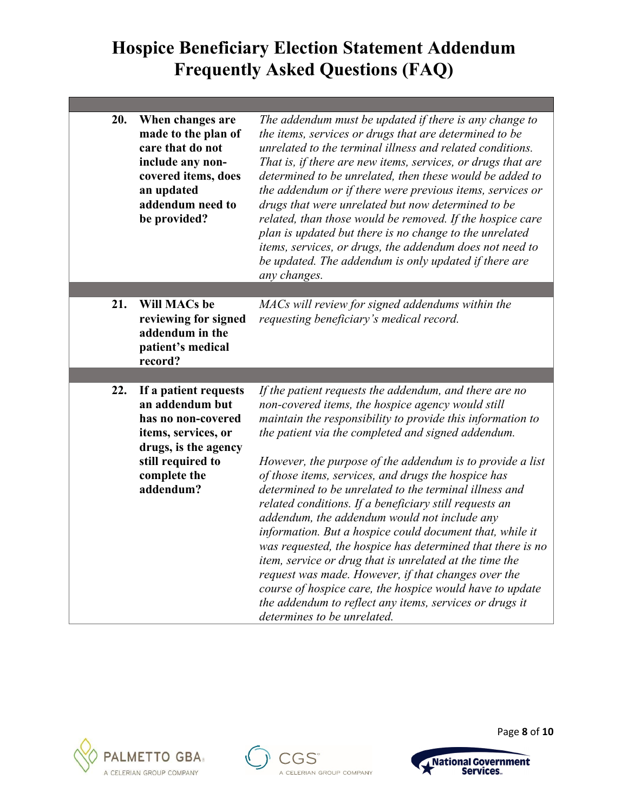| 20. | When changes are<br>made to the plan of<br>care that do not<br>include any non-<br>covered items, does<br>an updated<br>addendum need to<br>be provided?        | The addendum must be updated if there is any change to<br>the items, services or drugs that are determined to be<br>unrelated to the terminal illness and related conditions.<br>That is, if there are new items, services, or drugs that are<br>determined to be unrelated, then these would be added to<br>the addendum or if there were previous items, services or<br>drugs that were unrelated but now determined to be<br>related, than those would be removed. If the hospice care<br>plan is updated but there is no change to the unrelated<br>items, services, or drugs, the addendum does not need to<br>be updated. The addendum is only updated if there are<br>any changes.                                                                                                                                                                                                                                 |
|-----|-----------------------------------------------------------------------------------------------------------------------------------------------------------------|---------------------------------------------------------------------------------------------------------------------------------------------------------------------------------------------------------------------------------------------------------------------------------------------------------------------------------------------------------------------------------------------------------------------------------------------------------------------------------------------------------------------------------------------------------------------------------------------------------------------------------------------------------------------------------------------------------------------------------------------------------------------------------------------------------------------------------------------------------------------------------------------------------------------------|
|     |                                                                                                                                                                 |                                                                                                                                                                                                                                                                                                                                                                                                                                                                                                                                                                                                                                                                                                                                                                                                                                                                                                                           |
| 21. | <b>Will MACs be</b><br>reviewing for signed<br>addendum in the<br>patient's medical<br>record?                                                                  | MACs will review for signed addendums within the<br>requesting beneficiary's medical record.                                                                                                                                                                                                                                                                                                                                                                                                                                                                                                                                                                                                                                                                                                                                                                                                                              |
|     |                                                                                                                                                                 |                                                                                                                                                                                                                                                                                                                                                                                                                                                                                                                                                                                                                                                                                                                                                                                                                                                                                                                           |
| 22. | If a patient requests<br>an addendum but<br>has no non-covered<br>items, services, or<br>drugs, is the agency<br>still required to<br>complete the<br>addendum? | If the patient requests the addendum, and there are no<br>non-covered items, the hospice agency would still<br>maintain the responsibility to provide this information to<br>the patient via the completed and signed addendum.<br>However, the purpose of the addendum is to provide a list<br>of those items, services, and drugs the hospice has<br>determined to be unrelated to the terminal illness and<br>related conditions. If a beneficiary still requests an<br>addendum, the addendum would not include any<br>information. But a hospice could document that, while it<br>was requested, the hospice has determined that there is no<br>item, service or drug that is unrelated at the time the<br>request was made. However, if that changes over the<br>course of hospice care, the hospice would have to update<br>the addendum to reflect any items, services or drugs it<br>determines to be unrelated. |







Page **8** of **10**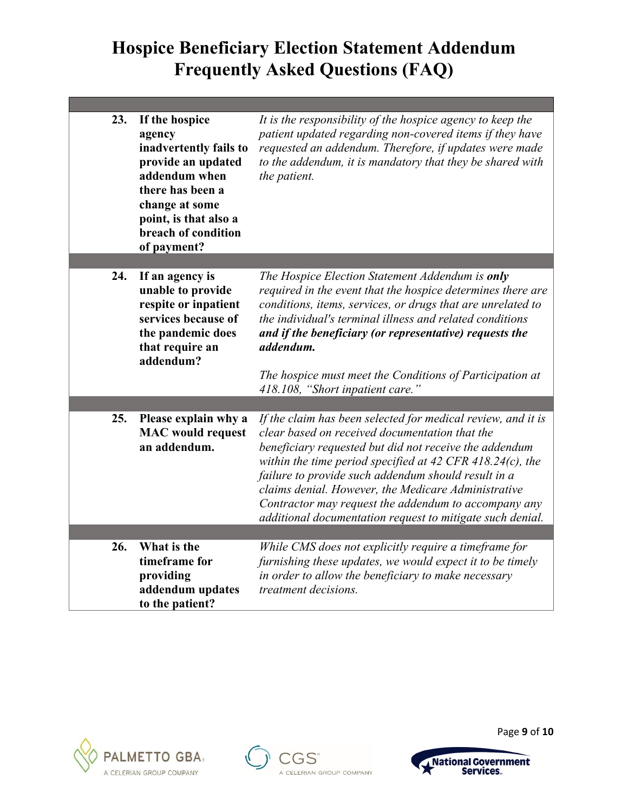| 23. | If the hospice<br>agency<br>inadvertently fails to<br>provide an updated<br>addendum when<br>there has been a<br>change at some<br>point, is that also a<br>breach of condition<br>of payment? | It is the responsibility of the hospice agency to keep the<br>patient updated regarding non-covered items if they have<br>requested an addendum. Therefore, if updates were made<br>to the addendum, it is mandatory that they be shared with<br>the patient.                                                                                                                                                                                                            |
|-----|------------------------------------------------------------------------------------------------------------------------------------------------------------------------------------------------|--------------------------------------------------------------------------------------------------------------------------------------------------------------------------------------------------------------------------------------------------------------------------------------------------------------------------------------------------------------------------------------------------------------------------------------------------------------------------|
|     |                                                                                                                                                                                                |                                                                                                                                                                                                                                                                                                                                                                                                                                                                          |
| 24. | If an agency is<br>unable to provide<br>respite or inpatient<br>services because of<br>the pandemic does<br>that require an<br>addendum?                                                       | The Hospice Election Statement Addendum is only<br>required in the event that the hospice determines there are<br>conditions, items, services, or drugs that are unrelated to<br>the individual's terminal illness and related conditions<br>and if the beneficiary (or representative) requests the<br>addendum.                                                                                                                                                        |
|     |                                                                                                                                                                                                | The hospice must meet the Conditions of Participation at<br>418.108, "Short inpatient care."                                                                                                                                                                                                                                                                                                                                                                             |
|     |                                                                                                                                                                                                |                                                                                                                                                                                                                                                                                                                                                                                                                                                                          |
| 25. | Please explain why a<br><b>MAC</b> would request<br>an addendum.                                                                                                                               | If the claim has been selected for medical review, and it is<br>clear based on received documentation that the<br>beneficiary requested but did not receive the addendum<br>within the time period specified at 42 CFR 418.24(c), the<br>failure to provide such addendum should result in a<br>claims denial. However, the Medicare Administrative<br>Contractor may request the addendum to accompany any<br>additional documentation request to mitigate such denial. |
|     |                                                                                                                                                                                                |                                                                                                                                                                                                                                                                                                                                                                                                                                                                          |
| 26. | What is the<br>timeframe for<br>providing<br>addendum updates<br>to the patient?                                                                                                               | While CMS does not explicitly require a timeframe for<br>furnishing these updates, we would expect it to be timely<br>in order to allow the beneficiary to make necessary<br>treatment decisions.                                                                                                                                                                                                                                                                        |







Page **9** of **10**